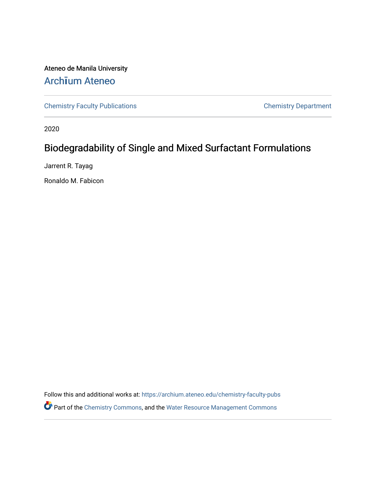Ateneo de Manila University Arch**ī**[um Ateneo](https://archium.ateneo.edu/) 

[Chemistry Faculty Publications](https://archium.ateneo.edu/chemistry-faculty-pubs) [Chemistry Department](https://archium.ateneo.edu/chemistry) 

2020

# Biodegradability of Single and Mixed Surfactant Formulations

Jarrent R. Tayag

Ronaldo M. Fabicon

Follow this and additional works at: [https://archium.ateneo.edu/chemistry-faculty-pubs](https://archium.ateneo.edu/chemistry-faculty-pubs?utm_source=archium.ateneo.edu%2Fchemistry-faculty-pubs%2F169&utm_medium=PDF&utm_campaign=PDFCoverPages) Part of the [Chemistry Commons,](http://network.bepress.com/hgg/discipline/131?utm_source=archium.ateneo.edu%2Fchemistry-faculty-pubs%2F169&utm_medium=PDF&utm_campaign=PDFCoverPages) and the [Water Resource Management Commons](http://network.bepress.com/hgg/discipline/1057?utm_source=archium.ateneo.edu%2Fchemistry-faculty-pubs%2F169&utm_medium=PDF&utm_campaign=PDFCoverPages)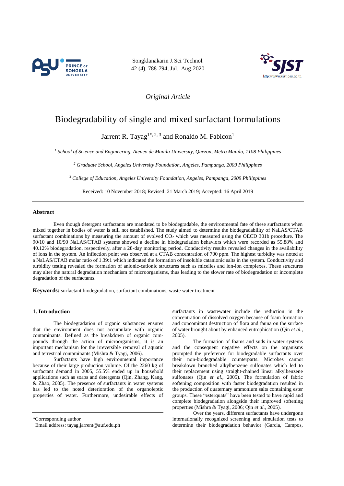

Songklanakarin J. Sci. Technol. 42 (4), 788-794, Jul. - Aug. 2020



*Original Article*

## Biodegradability of single and mixed surfactant formulations

Jarrent R. Tayag<sup>1\*, 2, 3</sup> and Ronaldo M. Fabicon<sup>1</sup>

*<sup>1</sup> School of Science and Engineering, Ateneo de Manila University, Quezon, Metro Manila, 1108 Philippines*

*<sup>2</sup> Graduate School, Angeles University Foundation, Angeles, Pampanga, 2009 Philippines*

*<sup>3</sup> College of Education, Angeles University Foundation, Angeles, Pampanga, 2009 Philippines*

Received: 10 November 2018; Revised: 21 March 2019; Accepted: 16 April 2019

## **Abstract**

Even though detergent surfactants are mandated to be biodegradable, the environmental fate of these surfactants when mixed together in bodies of water is still not established. The study aimed to determine the biodegradability of NaLAS/CTAB surfactant combinations by measuring the amount of evolved CO<sub>2</sub> which was measured using the OECD 301b procedure. The 90/10 and 10/90 NaLAS/CTAB systems showed a decline in biodegradation behaviors which were recorded as 55.88% and 40.12% biodegradation, respectively, after a 28-day monitoring period. Conductivity results revealed changes in the availability of ions in the system. An inflection point was observed at a CTAB concentration of 700 ppm. The highest turbidity was noted at a NaLAS/CTAB molar ratio of 1.39:1 which indicated the formation of insoluble catanionic salts in the system. Conductivity and turbidity testing revealed the formation of anionic-cationic structures such as micelles and ion-ion complexes. These structures may alter the natural degradation mechanism of microorganisms, thus leading to the slower rate of biodegradation or incomplete degradation of the surfactants.

**Keywords:** surfactant biodegradation, surfactant combinations, waste water treatment

## **1. Introduction**

The biodegradation of organic substances ensures that the environment does not accumulate with organic contaminants. Defined as the breakdown of organic compounds through the action of microorganisms, it is an important mechanism for the irreversible removal of aquatic and terrestrial contaminants (Mishra & Tyagi, 2006).

Surfactants have high environmental importance because of their large production volume. Of the 2260 kg of surfactant demand in 2005, 55.5% ended up in household applications such as soaps and detergents (Qin, Zhang, Kang, & Zhao, 2005). The presence of surfactants in water systems has led to the noted deterioration of the organoleptic properties of water. Furthermore, undesirable effects of

\*Corresponding author

Email address: tayag.jarrent@auf.edu.ph

surfactants in wastewater include the reduction in the concentration of dissolved oxygen because of foam formation and concomitant destruction of flora and fauna on the surface of water brought about by enhanced eutrophication (Qin *et al.,* 2005).

The formation of foams and suds in water systems and the consequent negative effects on the organisms prompted the preference for biodegradable surfactants over their non-biodegradable counterparts. Microbes cannot breakdown branched alkylbenzene sulfonates which led to their replacement using straight-chained linear alkylbenzene sulfonates (Qin *et al.,* 2005). The formulation of fabric softening composition with faster biodegradation resulted in the production of quaternary ammonium salts containing ester groups. These "esterquats" have been tested to have rapid and complete biodegradation alongside their improved softening properties (Mishra & Tyagi, 2006; Qin *et al.,* 2005).

Over the years, different surfactants have undergone internationally recognized screening and simulation tests to determine their biodegradation behavior (Garcia, Campos,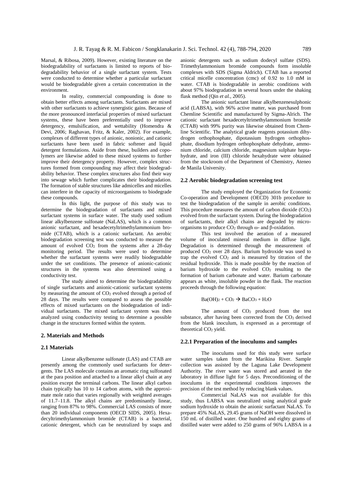Marsal, & Ribosa, 2009). However, existing literature on the biodegradability of surfactants is limited to reports of biodegradability behavior of a single surfactant system. Tests were conducted to determine whether a particular surfactant would be biodegradable given a certain concentration in the environment.

In reality, commercial compounding is done to obtain better effects among surfactants. Surfactants are mixed with other surfactants to achieve synergistic gains. Because of the more pronounced interfacial properties of mixed surfactant systems, these have been preferentially used to improve detergency, emulsification, and wettability (Homendra & Devi, 2006; Raghavan, Fritz, & Kaler, 2002). For example, complexes of different types of anionic, nonionic, and cationic surfactants have been used in fabric softener and liquid detergent formulations. Aside from these, builders and copolymers are likewise added to these mixed systems to further improve their detergency property. However, complex structures formed from compounding may affect their biodegradability behavior. These complex structures also find their way into sewage which further complicates their biodegradation. The formation of stable structures like admicelles and micelles can interfere in the capacity of microorganisms to biodegrade these compounds.

In this light, the purpose of this study was to determine the biodegradation of surfactants and mixed surfactant systems in surface water. The study used sodium linear alkylbenzene sulfonate (NaLAS), which is a common anionic surfactant, and hexadecetyltrimethylammonium bromide (CTAB), which is a cationic surfactant. An aerobic biodegradation screening test was conducted to measure the amount of evolved  $CO<sub>2</sub>$  from the systems after a 28-day monitoring period. The results were used to determine whether the surfactant systems were readily biodegradable under the set conditions. The presence of anionic-cationic structures in the systems was also determined using a conductivity test.

The study aimed to determine the biodegradability of single surfactants and anionic-cationic surfactant systems by measuring the amount of  $CO<sub>2</sub>$  evolved through a period of 28 days. The results were compared to assess the possible effects of mixed surfactants on the biodegradation of individual surfactants. The mixed surfactant system was then analyzed using conductivity testing to determine a possible change in the structures formed within the system.

## **2. Materials and Methods**

#### **2.1 Materials**

Linear alkylbenzene sulfonate (LAS) and CTAB are presently among the commonly used surfactants for detergents. The LAS molecule contains an aromatic ring sulfonated at the para position and attached to a linear alkyl chain at any position except the terminal carbons. The linear alkyl carbon chain typically has 10 to 14 carbon atoms, with the approximate mole ratio that varies regionally with weighted averages of 11.7‒11.8. The alkyl chains are predominantly linear, ranging from 87% to 98%. Commercial LAS consists of more than 20 individual components (OECD SIDS, 2005). Hexadecyltrimethylammonium bromide (CTAB) is a bacterial, cationic detergent, which can be neutralized by soaps and

anionic detergents such as sodium dodecyl sulfate (SDS). Trimethylammonium bromide compounds form insoluble complexes with SDS (Sigma Aldrich). CTAB has a reported critical micelle concentration (cmc) of 0.92 to 1.0 mM in water. CTAB is biodegradable in aerobic conditions with about 97% biodegradation in several hours under the shaking flask method (Qin *et al.,* 2005).

The anionic surfactant linear alkylbenzenesulphonic acid (LABSA), with 96% active matter, was purchased from Chemline Scientific and manufactured by Sigma-Alrich. The cationic surfactant hexadecetyltrimethylammonium bromide (CTAB) with 99% purity was likewise obtained from Chemline Scientific. The analytical grade reagents potassium dihydrogen orthophosphate, dipotassium hydrogen orthophosphate, disodium hydrogen orthophosphate dehydrate, ammonium chloride, calcium chloride, magnesium sulphate heptahydrate, and iron (III) chloride hexahydrate were obtained from the stockroom of the Department of Chemistry, Ateneo de Manila University.

## **2.2 Aerobic biodegradation screening test**

The study employed the Organization for Economic Co-operation and Development (OECD) 301b procedure to test the biodegradation of the sample in aerobic conditions. This procedure measures the amount of carbon dioxide (CO2) evolved from the surfactant system. During the biodegradation of surfactants, their alkyl chains are degraded by microorganisms to produce CO<sup>2</sup> through ω- and β-oxidation.

This test involved the aeration of a measured volume of inoculated mineral medium in diffuse light. Degradation is determined through the measurement of produced  $CO<sub>2</sub>$  over 28 days. Barium hydroxide was used to trap the evolved  $CO<sub>2</sub>$  and is measured by titration of the residual hydroxide. This is made possible by the reaction of barium hydroxide to the evolved CO<sup>2</sup> resulting to the formation of barium carbonate and water. Barium carbonate appears as white, insoluble powder in the flask. The reaction proceeds through the following equation:

#### $Ba(OH)<sub>2</sub> + CO<sub>2</sub> \rightarrow BaCO<sub>3</sub> + H<sub>2</sub>O$

The amount of CO<sub>2</sub> produced from the test substance, after having been corrected from the CO<sub>2</sub> derived from the blank inoculum, is expressed as a percentage of theoretical CO<sup>2</sup> yield.

## **2.2.1 Preparation of the inoculums and samples**

The inoculums used for this study were surface water samples taken from the Marikina River. Sample collection was assisted by the Laguna Lake Development Authority. The river water was stored and aerated in the laboratory in diffuse light for 5 days. Preconditioning of the inoculums in the experimental conditions improves the precision of the test method by reducing blank values.

Commercial NaLAS was not available for this study, thus LABSA was neutralized using analytical grade sodium hydroxide to obtain the anionic surfactant NaLAS. To prepare 45% NaLAS, 29.45 grams of NaOH were dissolved in 150 mL of distilled water. One hundred and eighty grams of distilled water were added to 250 grams of 96% LABSA in a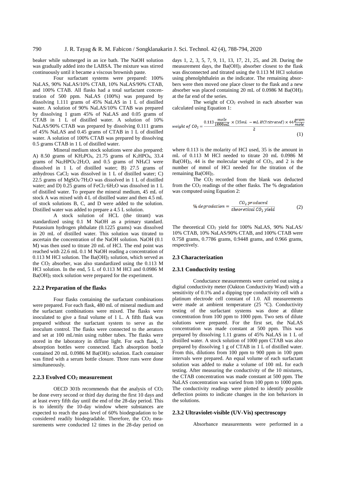beaker while submerged in an ice bath. The NaOH solution was gradually added into the LABSA. The mixture was stirred continuously until it became a viscous brownish paste.

Four surfactant systems were prepared: 100% NaLAS, 90% NaLAS/10% CTAB, 10% NaLAS/90% CTAB, and 100% CTAB. All flasks had a total surfactant concentration of 500 ppm. NaLAS (100%) was prepared by dissolving 1.111 grams of 45% NaLAS in 1 L of distilled water. A solution of 90% NaLAS/10% CTAB was prepared by dissolving 1 gram 45% of NaLAS and 0.05 grams of CTAB in 1 L of distilled water. A solution of 10% NaLAS/90% CTAB was prepared by dissolving 0.111 grams of 45% NaLAS and 0.45 grams of CTAB in 1 L of distilled water. A solution of 100% CTAB was prepared by dissolving 0.5 grams CTAB in 1 L of distilled water.

Mineral medium stock solutions were also prepared: A) 8.50 grams of  $KH_2PO_4$ , 21.75 grams of  $K_2HPO_4$ , 33.4 grams of Na2HPO4·2H2O, and 0.5 grams of NH4Cl were dissolved in 1 L of distilled water; B) 27.5 grams of anhydrous  $CaCl<sub>2</sub>$  was dissolved in 1 L of distilled water; C) 22.5 grams of MgSO4·7H2O was dissolved in 1 L of distilled water; and D) 0.25 grams of FeCl<sub>3</sub>·6H<sub>2</sub>O was dissolved in 1 L of distilled water. To prepare the mineral medium, 45 mL of stock A was mixed with 4 L of distilled water and then 4.5 mL of stock solutions B, C, and D were added to the solution. Distilled water was added to prepare a 4.5 L solution.

A stock solution of HCL (the titrant) was standardized using 0.1 M NaOH as a primary standard. Potassium hydrogen phthalate (0.1225 grams) was dissolved in 20 mL of distilled water. This solution was titrated to ascertain the concentration of the NaOH solution. NaOH (0.1 M) was then used to titrate 20 mL of HCl. The end point was reached with 22.6 mL 0.1 M NaOH reading a concentration of 0.113 M HCl solution. The Ba(OH)<sup>2</sup> solution, which served as the  $CO<sub>2</sub>$  absorber, was also standardized using the 0.113 M HCl solution. In the end, 5 L of 0.113 M HCl and 0.0986 M Ba(OH)<sub>2</sub> stock solution were prepared for the experiment.

## **2.2.2 Preparation of the flasks**

Four flasks containing the surfactant combinations were prepared. For each flask, 480 mL of mineral medium and the surfactant combinations were mixed. The flasks were inoculated to give a final volume of 1 L. A fifth flask was prepared without the surfactant system to serve as the inoculum control. The flasks were connected to the aerators and set at 100 mL/min using rubber tubes. The flasks were stored in the laboratory in diffuse light. For each flask, 3 absorption bottles were connected. Each absorption bottle contained 20 mL 0.0986 M Ba(OH)<sup>2</sup> solution. Each container was fitted with a serum bottle closure. Three runs were done simultaneously.

## **2.2.3 Evolved CO<sup>2</sup> measurement**

OECD 301b recommends that the analysis of CO<sup>2</sup> be done every second or third day during the first 10 days and at least every fifth day until the end of the 28-day period. This is to identify the 10-day window where substances are expected to reach the pass level of 60% biodegradation to be considered readily biodegradable. Therefore, the  $CO<sub>2</sub>$  measurements were conducted 12 times in the 28-day period on

days 1, 2, 3, 5, 7, 9, 11, 13, 17, 21, 25, and 28. During the measurement days, the Ba(OH)<sup>2</sup> absorber closest to the flask was disconnected and titrated using the 0.113 M HCl solution using phenolphthalein as the indicator. The remaining absorbers were then moved one place closer to the flask and a new absorber was placed containing 20 mL of 0.0986 M Ba(OH)<sup>2</sup> at the far end of the series.

The weight of  $CO<sub>2</sub>$  evolved in each absorber was calculated using Equation 1:

weight of 
$$
CO_2 = \frac{0.113 \frac{mole}{1000mL} \times (35mL - mL \text{ HCl titrated}) \times 44 \frac{gram}{mole}}{2}
$$
 (1)

where 0.113 is the molarity of HCl used, 35 is the amount in mL of 0.113 M HCl needed to titrate 20 mL 0.0986 M  $Ba(OH)_2$ , 44 is the molecular weight of  $CO<sub>2</sub>$ , and 2 is the number of mmol of HCl needed for the titration of the remaining Ba(OH)<sub>2</sub>.

The CO2 recorded from the blank was deducted from the CO<sup>2</sup> readings of the other flasks. The % degradation was computed using Equation 2:

% degradation = 
$$
\frac{CO_2 \ produced}{theoretical \ CO_2 \ yield}
$$
 (2)

The theoretical CO<sup>2</sup> yield for 100% NaLAS, 90% NaLAS/ 10% CTAB, 10% NaLAS/90% CTAB, and 100% CTAB were 0.758 grams, 0.7786 grams, 0.9448 grams, and 0.966 grams, respectively.

## **2.3 Characterization**

## **2.3.1 Conductivity testing**

Conductance measurements were carried out using a digital conductivity meter (Oakton Conductivity Wand) with a sensitivity of 0.1% and a dipping type conductivity cell with a platinum electrode cell constant of 1.0. All measurements were made at ambient temperature (25 °C). Conductivity testing of the surfactant systems was done at dilute concentration from 100 ppm to 1000 ppm. Two sets of dilute solutions were prepared. For the first set, the NaLAS concentration was made constant at 500 ppm. This was prepared by dissolving 1.11 grams of 45% NaLAS in 1 L of distilled water. A stock solution of 1000 ppm CTAB was also prepared by dissolving 1 g of CTAB in 1 L of distilled water. From this, dilutions from 100 ppm to 900 ppm in 100 ppm intervals were prepared. An equal volume of each surfactant solution was added to make a volume of 100 mL for each testing. After measuring the conductivity of the 10 mixtures, the CTAB concentration was made constant at 500 ppm. The NaLAS concentration was varied from 100 ppm to 1000 ppm. The conductivity readings were plotted to identify possible deflection points to indicate changes in the ion behaviors in the solutions.

#### **2.3.2 Ultraviolet-visible (UV-Vis) spectroscopy**

Absorbance measurements were performed in a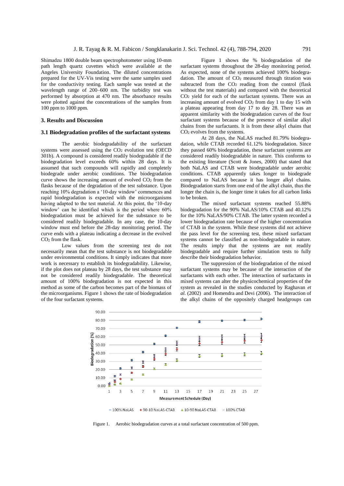Shimadzu 1800 double beam spectrophotometer using 10-mm path length quartz cuvettes which were available at the Angeles University Foundation. The diluted concentrations prepared for the UV-Vis testing were the same samples used for the conductivity testing. Each sample was tested at the wavelength range of 200–600 nm. The turbidity test was performed by absorption at 470 nm. The absorbance results were plotted against the concentrations of the samples from 100 ppm to 1000 ppm.

## **3. Results and Discussion**

### **3.1 Biodegradation profiles of the surfactant systems**

The aerobic biodegradability of the surfactant systems were assessed using the  $CO<sub>2</sub>$  evolution test (OECD) 301b). A compound is considered readily biodegradable if the biodegradation level exceeds 60% within 28 days. It is assumed that such compounds will rapidly and completely biodegrade under aerobic conditions. The biodegradation curve shows the increasing amount of evolved CO2 from the flasks because of the degradation of the test substance. Upon reaching 10% degradation a '10-day window' commences and rapid biodegradation is expected with the microorganisms having adapted to the test material. At this point, the '10-day window' can be identified which is the period where 60% biodegradation must be achieved for the substance to be considered readily biodegradable. In any case, the 10-day window must end before the 28-day monitoring period. The curve ends with a plateau indicating a decrease in the evolved CO<sup>2</sup> from the flask.

Low values from the screening test do not necessarily mean that the test substance is not biodegradable under environmental conditions. It simply indicates that more work is necessary to establish its biodegradability. Likewise, if the plot does not plateau by 28 days, the test substance may not be considered readily biodegradable. The theoretical amount of 100% biodegradation is not expected in this method as some of the carbon becomes part of the biomass of the microorganisms. Figure 1 shows the rate of biodegradation of the four surfactant systems.

Figure 1 shows the % biodegradation of the surfactant systems throughout the 28-day monitoring period. As expected, none of the systems achieved 100% biodegradation. The amount of  $CO<sub>2</sub>$  measured through titration was subtracted from the CO<sub>2</sub> reading from the control (flask without the test materials) and compared with the theoretical CO<sup>2</sup> yield for each of the surfactant systems. There was an increasing amount of evolved  $CO<sub>2</sub>$  from day 1 to day 15 with a plateau appearing from day 17 to day 28. There was an apparent similarity with the biodegradation curves of the four surfactant systems because of the presence of similar alkyl chains from the surfactants. It is from these alkyl chains that CO<sup>2</sup> evolves from the systems.

At 28 days, the NaLAS reached 81.79% biodegradation, while CTAB recorded 61.12% biodegradation. Since they passed 60% biodegradation, these surfactant systems are considered readily biodegradable in nature. This conforms to the existing literature (Scott  $\&$  Jones, 2000) that stated that both NaLAS and CTAB were biodegradable under aerobic conditions. CTAB apparently takes longer to biodegrade compared to NaLAS because it has longer alkyl chains. Biodegradation starts from one end of the alkyl chain, thus the longer the chain is, the longer time it takes for all carbon links to be broken.

The mixed surfactant systems reached 55.88% biodegradation for the 90% NaLAS/10% CTAB and 40.12% for the 10% NaLAS/90% CTAB. The latter system recorded a lower biodegradation rate because of the higher concentration of CTAB in the system. While these systems did not achieve the pass level for the screening test, these mixed surfactant systems cannot be classified as non-biodegradable in nature. The results imply that the systems are not readily biodegradable and require further simulation tests to fully describe their biodegradation behavior.

The suppression of the biodegradation of the mixed surfactant systems may be because of the interaction of the surfactants with each other. The interaction of surfactants in mixed systems can alter the physicochemical properties of the system as revealed in the studies conducted by Raghavan *et al.* (2002) and Homendra and Devi (2006). The interaction of the alkyl chains of the oppositely charged headgroups can



Figure 1. Aerobic biodegradation curves at a total surfactant concentration of 500 ppm.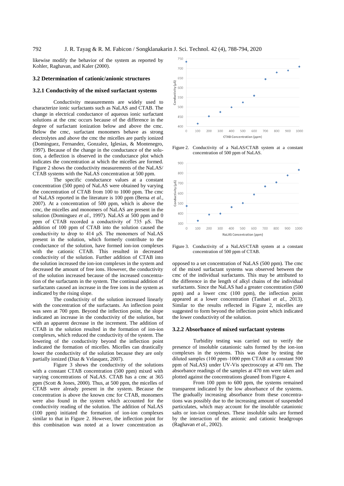likewise modify the behavior of the system as reported by Kohler, Raghavan, and Kaler (2000).

### **3.2 Determination of cationic/anionic structures**

## **3.2.1 Conductivity of the mixed surfactant systems**

Conductivity measurements are widely used to characterize ionic surfactants such as NaLAS and CTAB. The change in electrical conductance of aqueous ionic surfactant solutions at the cmc occurs because of the difference in the degree of surfactant ionization below and above the cmc. Below the cmc, surfactant monomers behave as strong electrolytes and above the cmc the micelles are partly ionized (Dominguez, Fernandez, Gonzalez, Iglesias, & Montenegro, 1997). Because of the change in the conductance of the solution, a deflection is observed in the conductance plot which indicates the concentration at which the micelles are formed. Figure 2 shows the conductivity measurements of the NaLAS/ CTAB systems with the NaLAS concentration at 500 ppm.

The specific conductance values at a constant concentration (500 ppm) of NaLAS were obtained by varying the concentration of CTAB from 100 to 1000 ppm. The cmc of NaLAS reported in the literature is 100 ppm (Berna *et al.,* 2007). At a concentration of 500 ppm, which is above the cmc, the micelles and monomers of NaLAS are present in the solution (Dominguez *et al.,* 1997). NaLAS at 500 ppm and 0 ppm of CTAB recorded a conductivity of 735 μS. The addition of 100 ppm of CTAB into the solution caused the conductivity to drop to 414 μS. The monomers of NaLAS present in the solution, which formerly contribute to the conductance of the solution, have formed ion-ion complexes with the cationic CTAB. This resulted in decreased conductivity of the solution. Further addition of CTAB into the solution increased the ion-ion complexes in the system and decreased the amount of free ions. However, the conductivity of the solution increased because of the increased concentration of the surfactants in the system. The continual addition of surfactants caused an increase in the free ions in the system as indicated by the rising slope.

The conductivity of the solution increased linearly with the concentration of the surfactants. An inflection point was seen at 700 ppm. Beyond the inflection point, the slope indicated an increase in the conductivity of the solution, but with an apparent decrease in the increment. The addition of CTAB in the solution resulted in the formation of ion-ion complexes, which reduced the conductivity of the system. The lowering of the conductivity beyond the inflection point indicated the formation of micelles. Micelles can drastically lower the conductivity of the solution because they are only partially ionized (Diaz & Velasquez, 2007).

Figure 3 shows the conductivity of the solutions with a constant CTAB concentration (500 ppm) mixed with varying concentrations of NaLAS. CTAB has a cmc at 365 ppm (Scott & Jones, 2000). Thus, at 500 ppm, the micelles of CTAB were already present in the system. Because the concentration is above the known cmc for CTAB, monomers were also found in the system which accounted for the conductivity reading of the solution. The addition of NaLAS (100 ppm) initiated the formation of ion-ion complexes similar to that in Figure 2. However, the inflection point for this combination was noted at a lower concentration as



Figure 2. Conductivity of a NaLAS/CTAB system at a constant concentration of 500 ppm of NaLAS.



Figure 3. Conductivity of a NaLAS/CTAB system at a constant concentration of 500 ppm of CTAB.

opposed to a set concentration of NaLAS (500 ppm). The cmc of the mixed surfactant systems was observed between the cmc of the individual surfactants. This may be attributed to the difference in the length of alkyl chains of the individual surfactants. Since the NaLAS had a greater concentration (500 ppm) and a lower cmc (100 ppm), the inflection point appeared at a lower concentration (Tanhaei *et al.,* 2013). Similar to the results reflected in Figure 2, micelles are suggested to form beyond the inflection point which indicated the lower conductivity of the solution.

#### **3.2.2 Absorbance of mixed surfactant systems**

Turbidity testing was carried out to verify the presence of insoluble catanionic salts formed by the ion-ion complexes in the systems. This was done by testing the diluted samples  $(100$  ppm $-1000$  ppm CTAB at a constant 500 ppm of NaLAS) under UV-Vis spectroscopy at 470 nm. The absorbance readings of the samples at 470 nm were taken and plotted against the concentrations gleaned from Figure 4.

From 100 ppm to 600 ppm, the systems remained transparent indicated by the low absorbance of the systems. The gradually increasing absorbance from these concentrations was possibly due to the increasing amount of suspended particulates, which may account for the insoluble catanionic salts or ion-ion complexes. These insoluble salts are formed by the interaction of the anionic and cationic headgroups (Raghavan *et al.,* 2002).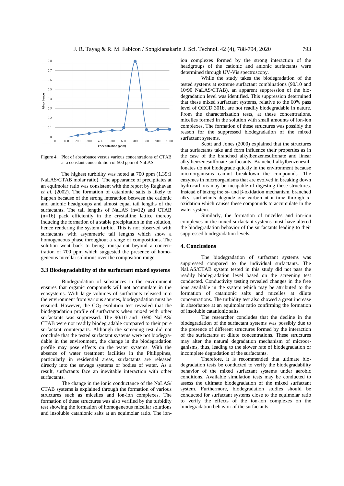

Figure 4. Plot of absorbance versus various concentrations of CTAB at a constant concentration of 500 ppm of NaLAS.

The highest turbidity was noted at 700 ppm (1.39:1 NaLAS/CTAB molar ratio). The appearance of precipitates at an equimolar ratio was consistent with the report by Raghavan *et al.* (2002). The formation of catanionic salts is likely to happen because of the strong interaction between the cationic and anionic headgroups and almost equal tail lengths of the surfactants. The tail lengths of NaLAS (n=12) and CTAB  $(n=16)$  pack efficiently in the crystalline lattice thereby inducing the formation of a stable precipitation in the solution, hence rendering the system turbid. This is not observed with surfactants with asymmetric tail lengths which show a homogeneous phase throughout a range of compositions. The solution went back to being transparent beyond a concentration of 700 ppm which suggested the presence of homogeneous micellar solutions over the composition range.

### **3.3 Biodegradability of the surfactant mixed systems**

Biodegradation of substances in the environment ensures that organic compounds will not accumulate in the ecosystems. With large volumes of surfactants released into the environment from various sources, biodegradation must be ensured. However, the CO<sub>2</sub> evolution test revealed that the biodegradation profile of surfactants when mixed with other surfactants was suppressed. The 90/10 and 10/90 NaLAS/ CTAB were not readily biodegradable compared to their pure surfactant counterparts. Although the screening test did not conclude that the tested surfactant systems were not biodegradable in the environment, the change in the biodegradation profile may pose effects on the water systems. With the absence of water treatment facilities in the Philippines, particularly in residential areas, surfactants are released directly into the sewage systems or bodies of water. As a result, surfactants face an inevitable interaction with other surfactants.

The change in the ionic conductance of the NaLAS/ CTAB systems is explained through the formation of various structures such as micelles and ion-ion complexes. The formation of these structures was also verified by the turbidity test showing the formation of homogeneous micellar solutions and insoluble catanionic salts at an equimolar ratio. The ionion complexes formed by the strong interaction of the headgroups of the cationic and anionic surfactants were determined through UV-Vis spectroscopy.

While the study takes the biodegradation of the tested systems at extreme surfactant combinations (90/10 and 10/90 NaLAS/CTAB), an apparent suppression of the biodegradation level was identified. This suppression determined that these mixed surfactant systems, relative to the 60% pass level of OECD 301b, are not readily biodegradable in nature. From the characterization tests, at these concentrations, micelles formed in the solution with small amounts of ion-ion complexes. The formation of these structures was possibly the reason for the suppressed biodegradation of the mixed surfactant systems.

Scott and Jones (2000) explained that the structures that surfactants take and form influence their properties as in the case of the branched alkylbenzenesulfonate and linear alkylbenzenesulfonate surfactants. Branched alkylbenzenesulfonates do not biodegrade quickly in the environment because microorganisms cannot breakdown the compounds. The enzymes in microorganisms that are evolved in breaking down hydrocarbons may be incapable of digesting these structures. Instead of taking the ω- and β-oxidation mechanism, branched alkyl surfactants degrade one carbon at a time through αoxidation which causes these compounds to accumulate in the water system.

Similarly, the formation of micelles and ion-ion complexes in the mixed surfactant systems must have altered the biodegradation behavior of the surfactants leading to their suppressed biodegradation levels.

## **4. Conclusions**

The biodegradation of surfactant systems was suppressed compared to the individual surfactants. The NaLAS/CTAB system tested in this study did not pass the readily biodegradation level based on the screening test conducted. Conductivity testing revealed changes in the free ions available in the system which may be attributed to the formation of catanionic salts and micelles at dilute concentrations. The turbidity test also showed a great increase in absorbance at an equimolar ratio confirming the formation of insoluble catanionic salts.

The researcher concludes that the decline in the biodegradation of the surfactant systems was possibly due to the presence of different structures formed by the interaction of the surfactants at dilute concentrations. These structures may alter the natural degradation mechanism of microorganisms, thus, leading to the slower rate of biodegradation or incomplete degradation of the surfactants.

Therefore, it is recommended that ultimate biodegradation tests be conducted to verify the biodegradability behavior of the mixed surfactant systems under aerobic conditions. Available simulation tests may be conducted to assess the ultimate biodegradation of the mixed surfactant system. Furthermore, biodegradation studies should be conducted for surfactant systems close to the equimolar ratio to verify the effects of the ion-ion complexes on the biodegradation behavior of the surfactants.